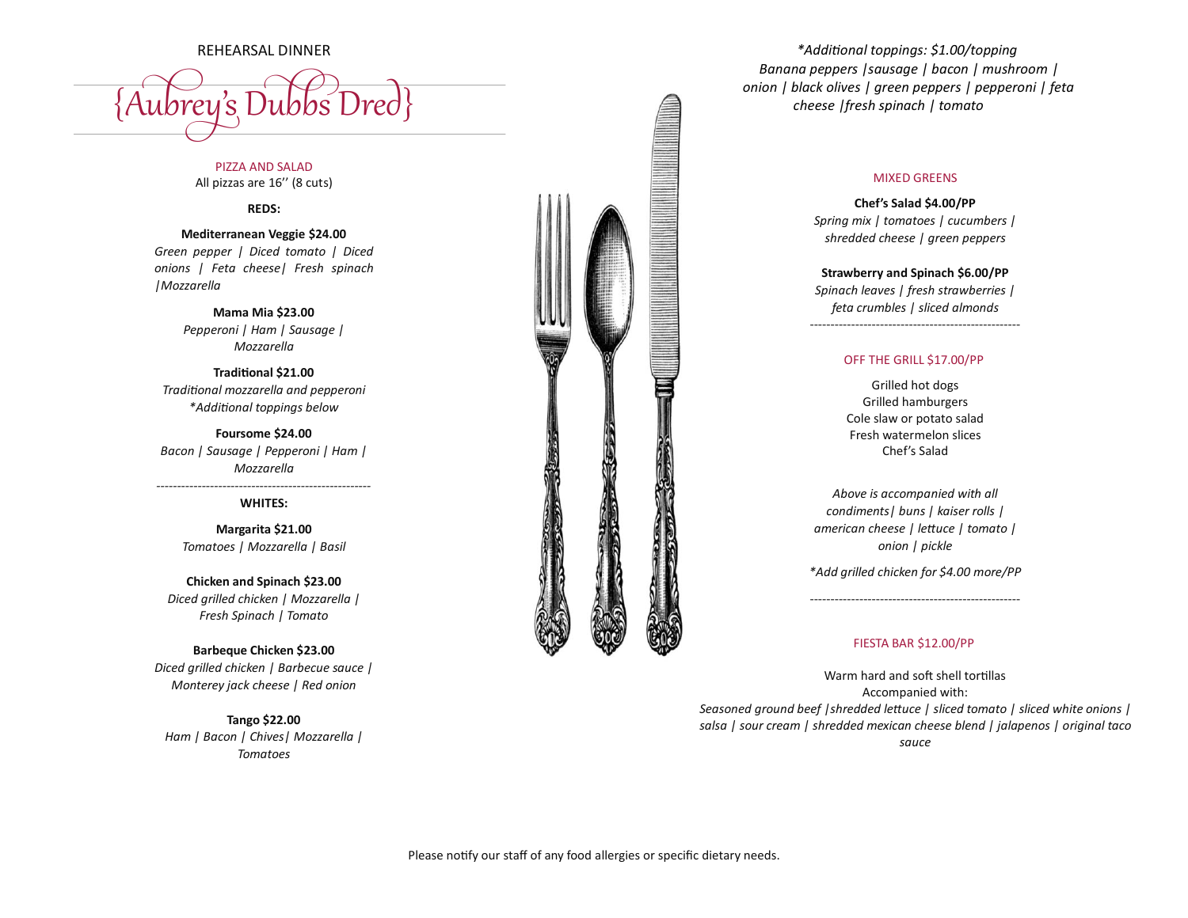{Aubrey's Dubbs Dred}

PIZZA AND SALAD All pizzas are 16'' (8 cuts)

**REDS:**

**Mediterranean Veggie \$24.00** *Green pepper | Diced tomato | Diced onions | Feta cheese| Fresh spinach |Mozzarella*

> **Mama Mia \$23.00** *Pepperoni | Ham | Sausage | Mozzarella*

**Traditional \$21.00** *Traditional mozzarella and pepperoni \*Additional toppings below*

**Foursome \$24.00** *Bacon | Sausage | Pepperoni | Ham | Mozzarella*

## *----------------------------------------------------* **WHITES:**

**Margarita \$21.00** *Tomatoes | Mozzarella | Basil* 

**Chicken and Spinach \$23.00** *Diced grilled chicken | Mozzarella | Fresh Spinach | Tomato* 

**Barbeque Chicken \$23.00** *Diced grilled chicken | Barbecue sauce | Monterey jack cheese | Red onion*

**Tango \$22.00** *Ham | Bacon | Chives| Mozzarella | Tomatoes*



*\*Additional toppings: \$1.00/topping Banana peppers |sausage | bacon | mushroom | onion | black olives | green peppers | pepperoni | feta cheese |fresh spinach | tomato*

## MIXED GREENS

**Chef's Salad \$4.00/PP** *Spring mix | tomatoes | cucumbers | shredded cheese | green peppers* 

**Strawberry and Spinach \$6.00/PP** *Spinach leaves | fresh strawberries | feta crumbles | sliced almonds*

---------------------------------------------------

## OFF THE GRILL \$17.00/PP

Grilled hot dogs Grilled hamburgers Cole slaw or potato salad Fresh watermelon slices Chef's Salad

*Above is accompanied with all condiments| buns | kaiser rolls | american cheese | lettuce | tomato | onion | pickle* 

*\*Add grilled chicken for \$4.00 more/PP* ---------------------------------------------------

## FIESTA BAR \$12.00/PP

Warm hard and soft shell tortillas Accompanied with: *Seasoned ground beef |shredded lettuce | sliced tomato | sliced white onions | salsa | sour cream | shredded mexican cheese blend | jalapenos | original taco sauce*

Please notify our staff of any food allergies or specific dietary needs.